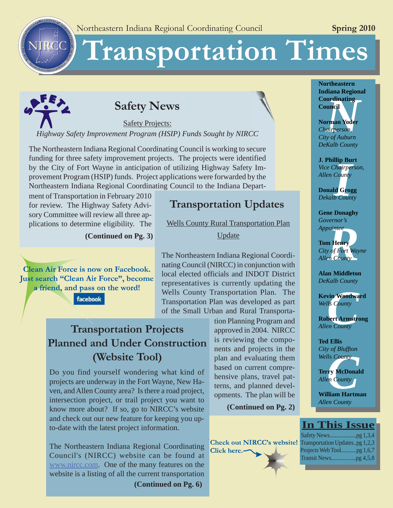# ransportation Times



NIRCC

**RON**

# **Safety News**

Safety Projects: *Highway Safety Improvement Program (HSIP) Funds Sought by NIRCC*

The Northeastern Indiana Regional Coordinating Council is working to secure funding for three safety improvement projects. The projects were identified by the City of Fort Wayne in anticipation of utilizing Highway Safety Improvement Program (HSIP) funds. Project applications were forwarded by the Northeastern Indiana Regional Coordinating Council to the Indiana Depart-

ment of Transportation in February 2010 for review. The Highway Safety Advisory Committee will review all three applications to determine eligibility. The

**(Continued on Pg. 3)**

**Clean Air Force is now on Facebook.** Just search "Clean Air Force", become a friend, and pass on the word!

facebook

# **Transportation Updates**

Wells County Rural Transportation Plan

**Update** 

The Northeastern Indiana Regional Coordinating Council (NIRCC) in conjunction with local elected officials and INDOT District representatives is currently updating the Wells County Transportation Plan. The Transportation Plan was developed as part of the Small Urban and Rural Transporta-

# **Transportation Projects Planned and Under Construction (Website Tool)**

Do you find yourself wondering what kind of projects are underway in the Fort Wayne, New Haven, and Allen County area? Is there a road project, intersection project, or trail project you want to know more about? If so, go to NIRCC's website and check out our new feature for keeping you upto-date with the latest project information.

The Northeastern Indiana Regional Coordinating Council's (NIRCC) website can be found at www.nircc.com. One of the many features on the website is a listing of all the current transportation

**(Continued on Pg. 6)**

tion Planning Program and approved in 2004. NIRCC is reviewing the components and projects in the plan and evaluating them based on current comprehensive plans, travel patterns, and planned developments. The plan will be

**(Continued on Pg. 2)**

**Check out NIRCC's website!** Click here.-

**Northeastern Indiana Regional Council**

**Coordinating<br>
Council<br>
Norman Yoder**<br>
Chairperson,<br>
City of Auburn **Norman Yoder** *Chairperson, City of Auburn DeKalb County*

**Ilip Bu**<br>*Chairper*<br>*County*<br>Id Grog<br>b Count **J. Phillip Burt** *Vice Chairperson, Allen County*

**Donald Grogg** *Dekalb County*

**Gene Donaghy** *Governor's Appointee*

*Reflection*<br>**Reflection**<br>**Reflection**<br>**Reflection**<br>**Reflection**<br>**Reflection**<br>**Reflection Tom Henry** *City of Fort Wayne Allen County*

**Alan Middleton** *DeKalb County*

**xin Woodwa**<br>*Us County*<br>bert Armstre<br>*PR* County **Kevin Woodward** *Wells County*

**Robert Armstrong** *Allen County*

**Ted Ellis** *City of Bluffton Wells County*

*County*<br>*County*<br>**Ty McDonal**<br>*P* County<br>*R* County **Terry McDonald** *Allen County*

**William Hartman** *Allen County*

# **In This Issue**

| Transportation Updatespg 1,2,3 |
|--------------------------------|
| Projects Web Toolpg 1,6,7      |
|                                |
|                                |

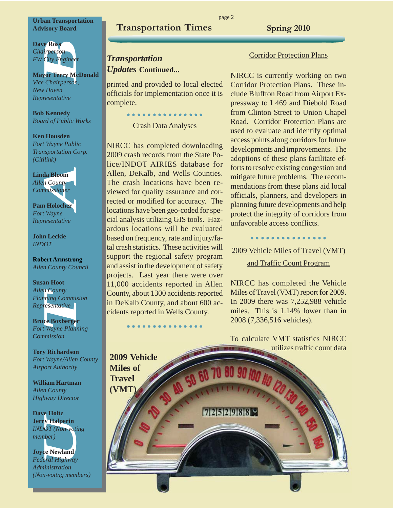**Urban Transportation Advisory Board**

**Dave Ross** *Chairperson FW City Engineer*

**Mayor Terry McDonald** *Vice Chairperson, New Haven Representative*

**Bob Kennedy** *Board of Public Works*

**Ken Housden** *Fort Wayne Public Transportation Corp. (Citilink)*



**John Leckie** *INDOT*

**Robert Armstrong** *Allen County Council*

**Susan Hoot** *Allen County Planning Commision Representative*

**Bruce Boxberger** *Fort Wayne Planning Commission*

**Tory Richardson** *Fort Wayne/Allen County Airport Authority*

**William Hartman** *Allen County Highway Director*

**Dave Holtz Jerry Halperin** *INDOT (Non-voting member)*



*Federal Highway Administration (Non-voitng members)*

# **Transportation Times Spring 2010**

# *Transportation Updates* **Continued...**

printed and provided to local elected officials for implementation once it is complete.

> ○○○○○○○ ○○○○○○○○ Crash Data Analyses

NIRCC has completed downloading 2009 crash records from the State Police/INDOT AIRIES database for Allen, DeKalb, and Wells Counties. The crash locations have been reviewed for quality assurance and corrected or modified for accuracy. The locations have been geo-coded for special analysis utilizing GIS tools. Hazardous locations will be evaluated based on frequency, rate and injury/fatal crash statistics. These activities will support the regional safety program and assist in the development of safety projects. Last year there were over 11,000 accidents reported in Allen County, about 1300 accidents reported in DeKalb County, and about 600 accidents reported in Wells County.

○○○○○○○ ○○○○○○○○

#### Corridor Protection Plans

NIRCC is currently working on two Corridor Protection Plans. These include Bluffton Road from Airport Expressway to I 469 and Diebold Road from Clinton Street to Union Chapel Road. Corridor Protection Plans are used to evaluate and identify optimal access points along corridors for future developments and improvements. The adoptions of these plans facilitate efforts to resolve existing congestion and mitigate future problems. The recommendations from these plans aid local officials, planners, and developers in planning future developments and help protect the integrity of corridors from unfavorable access conflicts.

○○○○○○○ ○○○○○○○○

2009 Vehicle Miles of Travel (VMT) and Traffic Count Program

NIRCC has completed the Vehicle Miles of Travel (VMT) report for 2009. In 2009 there was 7,252,988 vehicle miles. This is 1.14% lower than in 2008 (7,336,516 vehicles).

To calculate VMT statistics NIRCC utilizes traffic count data

**2009 Vehicle Miles of Travel (VMT)**

100 ID 120 130 40 7252988

page 2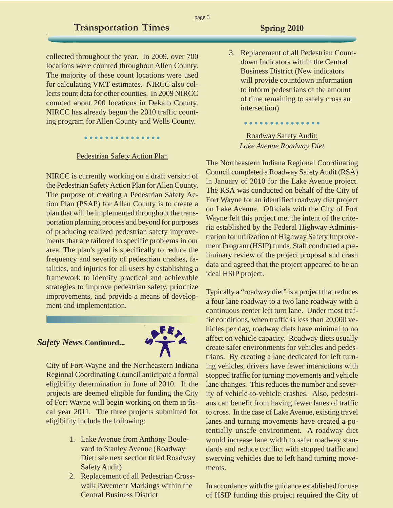collected throughout the year. In 2009, over 700 locations were counted throughout Allen County. The majority of these count locations were used for calculating VMT estimates. NIRCC also collects count data for other counties. In 2009 NIRCC counted about 200 locations in Dekalb County. NIRCC has already begun the 2010 traffic counting program for Allen County and Wells County.

○○○○○○○ ○○○○○○○○

#### Pedestrian Safety Action Plan

NIRCC is currently working on a draft version of the Pedestrian Safety Action Plan for Allen County. The purpose of creating a Pedestrian Safety Action Plan (PSAP) for Allen County is to create a plan that will be implemented throughout the transportation planning process and beyond for purposes of producing realized pedestrian safety improvements that are tailored to specific problems in our area. The plan's goal is specifically to reduce the frequency and severity of pedestrian crashes, fatalities, and injuries for all users by establishing a framework to identify practical and achievable strategies to improve pedestrian safety, prioritize improvements, and provide a means of development and implementation.

#### *Safety News* **Continued...**



City of Fort Wayne and the Northeastern Indiana Regional Coordinating Council anticipate a formal eligibility determination in June of 2010. If the projects are deemed eligible for funding the City of Fort Wayne will begin working on them in fiscal year 2011. The three projects submitted for eligibility include the following:

- 1. Lake Avenue from Anthony Boulevard to Stanley Avenue (Roadway Diet: see next section titled Roadway Safety Audit)
- 2. Replacement of all Pedestrian Crosswalk Pavement Markings within the Central Business District

3. Replacement of all Pedestrian Countdown Indicators within the Central Business District (New indicators will provide countdown information to inform pedestrians of the amount of time remaining to safely cross an intersection)

## Roadway Safety Audit: *Lake Avenue Roadway Diet*

○○○○○○○ ○○○○○○○○

The Northeastern Indiana Regional Coordinating Council completed a Roadway Safety Audit (RSA) in January of 2010 for the Lake Avenue project. The RSA was conducted on behalf of the City of Fort Wayne for an identified roadway diet project on Lake Avenue. Officials with the City of Fort Wayne felt this project met the intent of the criteria established by the Federal Highway Administration for utilization of Highway Safety Improvement Program (HSIP) funds. Staff conducted a preliminary review of the project proposal and crash data and agreed that the project appeared to be an ideal HSIP project.

Typically a "roadway diet" is a project that reduces a four lane roadway to a two lane roadway with a continuous center left turn lane. Under most traffic conditions, when traffic is less than 20,000 vehicles per day, roadway diets have minimal to no affect on vehicle capacity. Roadway diets usually create safer environments for vehicles and pedestrians. By creating a lane dedicated for left turning vehicles, drivers have fewer interactions with stopped traffic for turning movements and vehicle lane changes. This reduces the number and severity of vehicle-to-vehicle crashes. Also, pedestrians can benefit from having fewer lanes of traffic to cross. In the case of Lake Avenue, existing travel lanes and turning movements have created a potentially unsafe environment. A roadway diet would increase lane width to safer roadway standards and reduce conflict with stopped traffic and swerving vehicles due to left hand turning movements.

In accordance with the guidance established for use of HSIP funding this project required the City of

page 3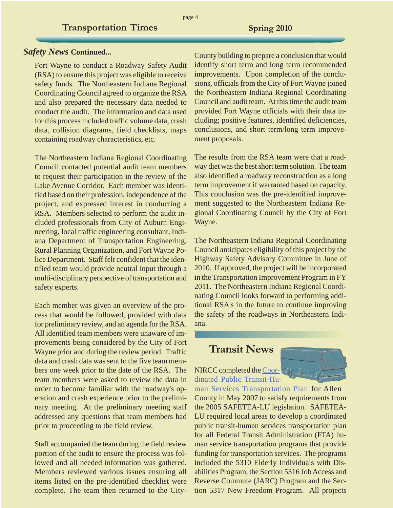#### *Safety News* **Continued...**

Fort Wayne to conduct a Roadway Safety Audit (RSA) to ensure this project was eligible to receive safety funds. The Northeastern Indiana Regional Coordinating Council agreed to organize the RSA and also prepared the necessary data needed to conduct the audit. The information and data used for this process included traffic volume data, crash data, collision diagrams, field checklists, maps containing roadway characteristics, etc.

The Northeastern Indiana Regional Coordinating Council contacted potential audit team members to request their participation in the review of the Lake Avenue Corridor. Each member was identified based on their profession, independence of the project, and expressed interest in conducting a RSA. Members selected to perform the audit included professionals from City of Auburn Engineering, local traffic engineering consultant, Indiana Department of Transportation Engineering, Rural Planning Organization, and Fort Wayne Police Department. Staff felt confident that the identified team would provide neutral input through a multi-disciplinary perspective of transportation and safety experts.

Each member was given an overview of the process that would be followed, provided with data for preliminary review, and an agenda for the RSA. All identified team members were unaware of improvements being considered by the City of Fort Wayne prior and during the review period. Traffic data and crash data was sent to the five team members one week prior to the date of the RSA. The team members were asked to review the data in order to become familiar with the roadway's operation and crash experience prior to the preliminary meeting. At the preliminary meeting staff addressed any questions that team members had prior to proceeding to the field review.

Staff accompanied the team during the field review portion of the audit to ensure the process was followed and all needed information was gathered. Members reviewed various issues ensuring all items listed on the pre-identified checklist were complete. The team then returned to the CityCounty building to prepare a conclusion that would identify short term and long term recommended improvements. Upon completion of the conclusions, officials from the City of Fort Wayne joined the Northeastern Indiana Regional Coordinating Council and audit team. At this time the audit team provided Fort Wayne officials with their data including; positive features, identified deficiencies, conclusions, and short term/long term improvement proposals.

The results from the RSA team were that a roadway diet was the best short term solution. The team also identified a roadway reconstruction as a long term improvement if warranted based on capacity. This conclusion was the pre-identified improvement suggested to the Northeastern Indiana Regional Coordinating Council by the City of Fort Wayne.

The Northeastern Indiana Regional Coordinating Council anticipates eligibility of this project by the Highway Safety Advisory Committee in June of 2010. If approved, the project will be incorporated in the Transportation Improvement Program in FY 2011. The Northeastern Indiana Regional Coordinating Council looks forward to performing additional RSA's in the future to continue improving the safety of the roadways in Northeastern Indiana.

# **Transit News**

# NIRCC completed the Coordinated Public Transit-Hu-



man Services Transportation Plan for Allen County in May 2007 to satisfy requirements from the 2005 SAFETEA-LU legislation. SAFETEA-LU required local areas to develop a coordinated public transit-human services transportation plan for all Federal Transit Administration (FTA) human service transportation programs that provide funding for transportation services. The programs included the 5310 Elderly Individuals with Disabilities Program, the Section 5316 Job Access and Reverse Commute (JARC) Program and the Section 5317 New Freedom Program. All projects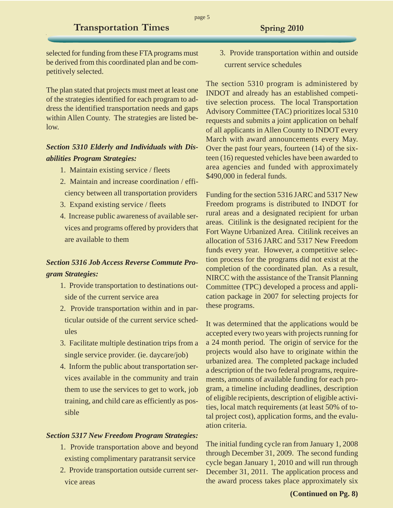page 5

selected for funding from these FTA programs must be derived from this coordinated plan and be competitively selected.

The plan stated that projects must meet at least one of the strategies identified for each program to address the identified transportation needs and gaps within Allen County. The strategies are listed below.

## *Section 5310 Elderly and Individuals with Disabilities Program Strategies:*

- 1. Maintain existing service / fleets
- 2. Maintain and increase coordination / efficiency between all transportation providers
- 3. Expand existing service / fleets
- 4. Increase public awareness of available services and programs offered by providers that are available to them

# *Section 5316 Job Access Reverse Commute Program Strategies:*

- 1. Provide transportation to destinations outside of the current service area
- 2. Provide transportation within and in particular outside of the current service schedules
- 3. Facilitate multiple destination trips from a single service provider. (ie. daycare/job)
- 4. Inform the public about transportation services available in the community and train them to use the services to get to work, job training, and child care as efficiently as possible

#### *Section 5317 New Freedom Program Strategies:*

- 1. Provide transportation above and beyond existing complimentary paratransit service
- 2. Provide transportation outside current service areas

3. Provide transportation within and outside current service schedules

The section 5310 program is administered by INDOT and already has an established competitive selection process. The local Transportation Advisory Committee (TAC) prioritizes local 5310 requests and submits a joint application on behalf of all applicants in Allen County to INDOT every March with award announcements every May. Over the past four years, fourteen (14) of the sixteen (16) requested vehicles have been awarded to area agencies and funded with approximately \$490,000 in federal funds.

Funding for the section 5316 JARC and 5317 New Freedom programs is distributed to INDOT for rural areas and a designated recipient for urban areas. Citilink is the designated recipient for the Fort Wayne Urbanized Area. Citilink receives an allocation of 5316 JARC and 5317 New Freedom funds every year. However, a competitive selection process for the programs did not exist at the completion of the coordinated plan. As a result, NIRCC with the assistance of the Transit Planning Committee (TPC) developed a process and application package in 2007 for selecting projects for these programs.

It was determined that the applications would be accepted every two years with projects running for a 24 month period. The origin of service for the projects would also have to originate within the urbanized area. The completed package included a description of the two federal programs, requirements, amounts of available funding for each program, a timeline including deadlines, description of eligible recipients, description of eligible activities, local match requirements (at least 50% of total project cost), application forms, and the evaluation criteria.

The initial funding cycle ran from January 1, 2008 through December 31, 2009. The second funding cycle began January 1, 2010 and will run through December 31, 2011. The application process and the award process takes place approximately six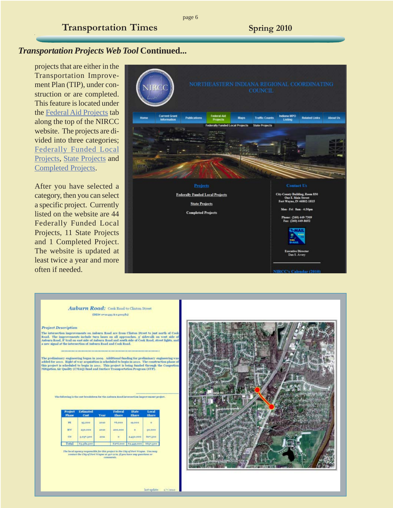### *Transportation Projects Web Tool* **Continued...**

projects that are either in the Transportation Improvement Plan (TIP), under construction or are completed. This feature is located under the Federal Aid Projects tab along the top of the NIRCC website. The projects are divided into three categories; Federally Funded Local Projects, State Projects and Completed Projects.

After you have selected a category, then you can select a specific project. Currently listed on the website are 44 Federally Funded Local Projects, 11 State Projects and 1 Completed Project. The website is updated at least twice a year and more often if needed.



page 6

#### Auburn Road: Cook Road to Clinton Street (DESK erinagg kingsog8i)

#### **Project Description**

The intersection improvements on Anburn Road are from Clinton Street to just north of Cool. The improvements include turn Janes on all approaches.  $\pm^*$  is<br>devials on west side of Anburn Road. If trail on each side of An

The preliminary engineering began in 2009. Additional funding for preliminary engineering valided for 2010. Right of way acquisition is scheduled to begin in 2010. The construction phase this project is scheduled to begin

The following is the cost breakdown for the Auburn Road intersection improvement project

| Project<br>Phase | Estimated<br>Cost | <b>Year</b> | Federal<br>Share | <b>State</b><br><b>Share</b> | Local<br>Share |
|------------------|-------------------|-------------|------------------|------------------------------|----------------|
| FE.              | 95,000            | <b>ADSD</b> | <b>+6,000</b>    | 19,000                       | $\theta$       |
| RW.              | 250,000           | 2010        | 200,000          |                              | 50,000         |
| CK               | 3.937.500         | ants.       |                  | 3.110.000                    | 607,500        |
| Total            | 83.382.500        |             | 1216,000         | 52.115.000                   | 8657.500       |

The local spency responsible for this project is the City of Fort Wayne. You is contact the City of Fort Wayne at 42+2172, if you have any questions or

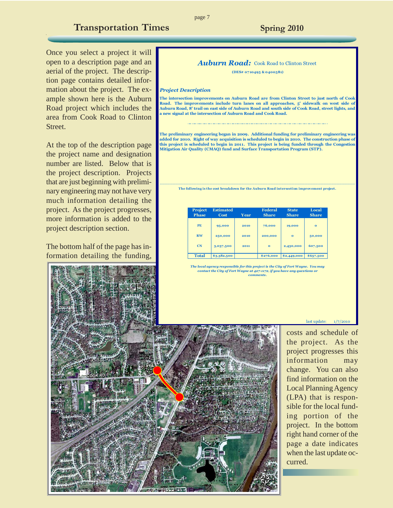Once you select a project it will open to a description page and an aerial of the project. The description page contains detailed information about the project. The example shown here is the Auburn Road project which includes the area from Cook Road to Clinton Street.

At the top of the description page the project name and designation number are listed. Below that is the project description. Projects that are just beginning with preliminary engineering may not have very much information detailing the project. As the project progresses, more information is added to the project description section.

The bottom half of the page has information detailing the funding,

#### *Auburn Road: Cook Road to Clinton Street*

**(DES# 07 10495 & 0400581)**

#### *Project Description*

**The intersection improvements on Auburn Road are from Clinton Street to just north of Cook Road. The improvements include turn lanes on all approaches, 5' sidewalk on west side of Auburn Road, 8' trail on east side of Auburn Road and south side of Cook Road, street lights, and a new signal at the intersection of Auburn Road and Cook Road.**

**The preliminary engineering began in 2009. Additional funding for preliminary engineering was added for 2010. Right of way acquisition is scheduled to begin in 2010. The construction phase of this project is scheduled to begin in 2011. This project is being funded through the Congestion Mitigation Air Quality (CMAQ) fund and Surface Transportation Program (STP).**

\_\_\_\_\_\_\_\_\_\_\_\_\_\_\_\_\_\_\_\_\_\_\_\_\_\_\_\_\_\_\_\_\_\_\_\_\_\_\_\_\_\_\_\_\_\_\_\_\_\_\_\_\_\_\_\_\_\_\_\_\_\_\_\_\_\_\_\_\_\_\_\_\_\_ **The following is the cost breakdown for the Auburn Road intersection improvement project.**

| <b>Project</b><br><b>Phase</b> | <b>Estimated</b><br>Cost | Year | <b>Federal</b><br><b>Share</b> | <b>State</b><br><b>Share</b> | Local<br><b>Share</b> |
|--------------------------------|--------------------------|------|--------------------------------|------------------------------|-----------------------|
| <b>PE</b>                      | 95,000                   | 2010 | 76,000                         | 19,000                       | $\bf{o}$              |
| <b>RW</b>                      | 250,000                  | 2010 | 200,000                        | $\bf{o}$                     | 50,000                |
| <b>CN</b>                      | 3,037,500                | 2011 | $\bf{o}$                       | 2,430,000                    | 607,500               |
| <b>Total</b>                   | \$3,382,500              |      | \$276,000                      | \$2,449,000                  | \$657,500             |

*The local agency responsible for this project is the City of Fort Wayne. You may contact the City of Fort Wayne at 427-1172, if you have any questions or comments.*



costs and schedule of the project. As the project progresses this information may change. You can also find information on the Local Planning Agency (LPA) that is responsible for the local funding portion of the project. In the bottom right hand corner of the page a date indicates when the last update occurred.

 $last update: 1/7/2010$ 

#### page 7